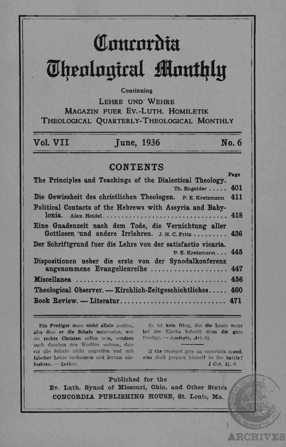# Comrordia **Theological Monthly**

#### Continuing

LEHRE UND WEHRE MAGAZIN FUER EV.-LUTH. HOMILETIK THEOLOGICAL OUARTERLY-THEOLOGICAL MONTHLY

## Vol. VII

**Tune, 1936** 

No. 6

# **CONTENTS**

| Th. Engelder  401<br>Die Gewissheit des christlichen Theologen. P. E. Kretzmann 411<br>Gottlosen und andere Irrlehren. J. H. C. Fritz  436<br>P. E. Kretzmann 445<br>angenommene Evangelienreihe  447<br>Theological Observer. — Kirchlich-Zeitgeschichtliches 460 | The Principles and Teachings of the Dialectical Theology.    | raze |
|--------------------------------------------------------------------------------------------------------------------------------------------------------------------------------------------------------------------------------------------------------------------|--------------------------------------------------------------|------|
|                                                                                                                                                                                                                                                                    |                                                              |      |
|                                                                                                                                                                                                                                                                    |                                                              |      |
|                                                                                                                                                                                                                                                                    | Political Contacts of the Hebrews with Assyria and Baby-     |      |
|                                                                                                                                                                                                                                                                    | Eine Gnadenzeit nach dem Tode, die Vernichtung aller         |      |
|                                                                                                                                                                                                                                                                    | Der Schriftgrund fuer die Lehre von der satisfactio vicaria. |      |
|                                                                                                                                                                                                                                                                    | Dispositionen ueber die erste von der Synodalkonferenz       |      |
|                                                                                                                                                                                                                                                                    |                                                              |      |
|                                                                                                                                                                                                                                                                    |                                                              |      |
|                                                                                                                                                                                                                                                                    |                                                              |      |

Ein Prediger muss nicht allein weiden. also dass er die Schafe unterweise, wie sie rechte Christen sollen sein, sondern auch daneben den Woelfen wehren, dass sie die Schafe nicht angreifen und mit falscher Lehre verfuehren und Irrtum einfuehren. - Luther.

Es ist kein Ding, das die Leute mehr bei der Kirche behaelt denn die gute Predigt. -- Apologie, Art. 24.

If the trumpet give an uncertain sound. who shall prepare himself to the battle? 1 Cor. 14, 8.

71 S T

V 10S

Published for the Ev. Luth. Synod of Missouri, Ohio, and Other States CONCORDIA PUBLISHING HOUSE, St. Louis, Mo.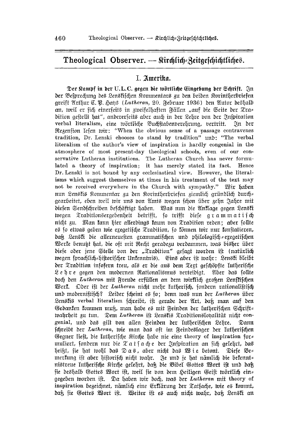## Theological Observer. - Stirdilid zeitgeschichtliches.

### I. Amerika.

Der Kampf in der U.L.C. gegen die wörtliche Eingebung der Schrift. In der Befprechung des Lenskischen Kommentars zu den beiden Korintherbriefen greift Arthur C. B. Sans (Lutheran, 20. Februar 1936) den Autor deshalb an, weil er sich einerseits in zweifelhaften Fällen "auf die Seite der Tra= dition geftellt hat", andererfeits aber auch in der Lehre von der Inspiration verbal literalism, eine wörtliche Buchftabenverehrung, vertritt. In der Regenfion Iefen tvir: "When the obvious sense of a passage contravenes tradition, Dr. Lenski chooses to stand by tradition" unb: "The verbal literalism of the author's view of inspiration is hardly congenial in the atmosphere of most present-day theological schools, even of our conservative Lutheran institutions. The Lutheran Church has never formulated a theory of inspiration; it has merely stated its fact.  $Hence$ Dr. Lenski is not bound by any ecclesiastical view. However, the literalisms which suggest themselves at times in his treatment of the text may not be received everywhere in the Church with sympathy." Wir haben nun Lenskis Kommentar zu den Korintherbriefen ziemlich gründlich durch= gearbeitet, eben weil wir uns von Amts wegen fcon über zehn Jahre mit diesen Sendschreiben beschäftigt haben. Was nun die Anklage gegen Lenski wegen Traditionsergebenheit betrifft, jo trifft diese grammatisch nicht zu. Man kann hier allerdings kaum von Tradition reden; aber follte es so etwas geben wie exegetische Tradition, so fönnen wir nur fonstatieren, daß Lenski die allerneuesten grammatischen und philologisch sexegetischen Werke benutt hat, die oft mit Recht geradezu verdammen, was bisher über diese oder jene Stelle bon der "Tradition" gesagt worden ist (natürlich wegen sprachlich=hiftorifcher Unkenntnis). Eins aber ist wahr: Lenski bleibt der Tradition infofern treu, als er die aus dem Text geschöpfte lutherische Lehre gegen den modernen Rationalismus berteidigt. Aber das follte doch den Lutheran mit Freude erfüllen an dem wirklich großen Lenstischen Werf. Oder ift der Lutheran nicht mehr lutherisch, sondern rationalistisch und modernistisch? Leider scheint es so; denn was nun der Lutheran über Lenstis verbal literalism fchreibt, ift gerade der Art, daß man auf den Gedanken kommen muß, man habe es mit Reinden der lutherischen Schrift= tvahrheit zu tun. Dem Lutheran ist Lenstis Traditionslonalität nicht congenial, und das gilt bon allen Feinden der lutherischen Lehre. Dann fchreibt der Lutheran, wie man das oft im Feindeslager der lutherischen Gegner lieft, die lutherische Stirche habe nie eine theory of inspiration for muliert, fondern nur die  $\mathfrak{X}$  a t f a ch e der Inspiration an fich gelehrt, das heißt, sie hat wohl das Das, aber nicht das Wie betont. Diefe Be= merkung ist aber historisch nicht wahr. Je und je hat nämlich die bekennts nistreue lutherische Kirche gelehrt, daß die Bibel Gottes Wort ist und daß sie deshalb Gottes Wort ist, weil sie von dem Heiligen Geist wörtlich ein= gegeben tvorden ift. Da haben tvir doch, tvas der Lutheran mit theory of inspiration bezeichnet, nämlich eine Erflärung der Tatsache, wie es fommt, daß sie Gottes Wort ist. Weiter ist es auch nicht wahr, daß Lenski an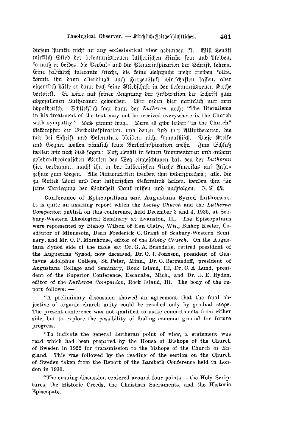diesem Punkte nicht an any ecclesiastical view gebunden ist. Will Lensti tvirklich Glied der bekenntnistreuen lutherischen Kirche sein und bleiben. so nun er beides, die Verbal= und die Plenarinspiration der Schrift, lehren. Eine fälfchlich tolerante Kirche, die keine Lehrzucht mehr treiben sollte, könnte ihn dann allerdings nach Herzensluft wirtschaften lassen, aber eigentlich hätte er dann doch seine Gliedschaft in der bekenntnistreuen Kirche berwirkt. Er wäre mit feiner Leuanung der Inspiration der Schrift zum abgefallenen Lutheraner geworden. Wir reden bier natürlich nur rein Schließlich fagt dann der Lutheran noch: "The literalisms hnpothetiich. in his treatment of the text may not be received everywhere in the Church with sympathy." Das ftimmt twohl. Denn es gibt leiber "in the Church" Bekämpfer der Verbalinspiration, und denen sind wir Altlutheraner, die wir bei Schrift und Bekenntnis bleiben, nicht sympathisch. Diese Kreise und Gegner wollen nämlich keine Verbalinspiration mehr. Rum Schluk wollen wir noch dies sagen: Daß Lensti in seinen Kommentaren und andern gelehrt=theologischen Werken den Weg eingeschlagen hat, den der Lutheran hier berdammt, macht ihn in der lutherischen Kirche Amerikas auf Jahr= zehnte zum Segen. Alle Rationalisten werden ihm widersprechen; alle, die zu Gottes Wort und dem lutherischen Bekenntnis halten, werden ihm für seine Darlegung der Wahrheit Dank wissen und nachfolgen. N. T. M.

Conference of Episcopalians and Augustana Synod Lutherans. It is quite an amazing report which the Living Church and the Lutheran Companion publish on this conference, held December 3 and 4, 1935, at Seabury-Western Theological Seminary at Evanston, Ill. The Episcopalians were represented by Bishop Wilson of Eau Claire, Wis., Bishop Keeler, Coadjutor of Minnesota, Dean Frederick C. Grant of Seabury-Western Seminary, and Mr. C. P. Morehouse, editor of the Living Church. On the Augustana Synod side of the table sat Dr. G. A. Brandelle, retired president of the Augustana Synod, now deceased, Dr. O. J. Johnson, president of Gustavus Adolphus College, St. Peter, Minn., Dr. C. Bergendoff, president of Augustana College and Seminary, Rock Island, Ill, Dr. C. A. Lund, president of the Superior Conference, Escanaba, Mich., and Dr. E. E. Ryden, editor of the Lutheran Companion, Rock Island, Ill. The body of the report follows: -

"A preliminary discussion showed an agreement that the final objective of organic church unity could be reached only by gradual steps. The present conference was not qualified to make commitments from either side, but to explore the possibility of finding common ground for future progress.

"To indicate the general Lutheran point of view, a statement was read which had been prepared by the House of Bishops of the Church of Sweden in 1922 for transmission to the bishops of the Church of England. This was followed by the reading of the section on the Church of Sweden taken from the Report of the Lambeth Conference held in London in 1930.

"The ensuing discussion centered around four points - the Holy Scriptures, the Historic Creeds, the Christian Sacraments, and the Historic Episcopate.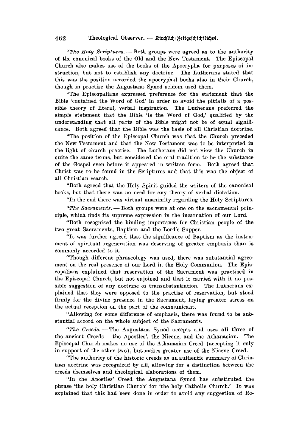*"The Holy Scriptures.* - Both groups were agreed as to the authority of the canonical books of the Old and the New Testament. The Episcopal Church also makes use of the books of the Apocrypha for purposes of instruction, but not to establish any doctrine. The Lutherans stated that this was the position accorded the apocryphal books also in their Church, though in practise the Augustana Synod seldom used them.

"The Episcopalians expressed preference for the statement that the Bible 'contained the Word of God' in order to avoid the pitfalls of a possible theory of literal, verbal inspiration. The Lutherans preferred the simple statement that the Bible 'is the Word of God,' qualified by the understanding that all parts of the Bible might not be of equal significance. Both agreed that the Bible was the basis of all Christian doctrine.

"The position of the Episcopal Church was that the Church preceded the New Testament and that the New Testament was to be interpreted in the light of church practise. The Lutherans did not view the Church in quite the same terms, but considered the oral tradition to be the substance of the Gospel even before it appeared in written form. Both agreed that Christ was to be found in the Scriptures and that this was the object of all Christian search.

"Both agreed that the Holy Spirit guided the writers of the canonical books, but that there was no need for any theory of verbal dictation.

"In the end there was virtual unanimity regarding the Holy Scriptures.

"The Sacraments. - Both groups were at one on the sacramental principle, which finds its supreme expression in the incarnation of our Lord.

"Both recognized the binding importance for Christian people of the two great Sacraments, Baptism and the Lord's Supper.

"It was further agreed that the significance of Baptism as the instrument of spiritual regeneration was deserving of greater emphasis than is commonly accorded to it.

"Though different phraseology was used, there was substantial agreement on the real presence of our Lord in the Holy Communion. The Episcopalians explained that reservation of the Sacrament was practised in the Episcopal Church, but not enjoined and that it carried with it no possible suggestion of any doctrine of transubstantiation. The Lutherans explained that they were opposed to the practise of reservation, but stood firmly for the divine presence in the Sacrament, laying greater stress on the actual reception on the part of the communicant.

"Allowing for some difference of emphasis, there was found to be substantial accord on the whole subject of the Sacraments.

*"The Oreeds.* - The Augustana Synod accepts and uses all three of the ancient Creeds - the Apostles', the Nicene, and the Athanasian. The Episcopal Church makes no use of the Athanasian Creed (accepting it only in support of the other two), but makes greater use of the Nicene Creed.

"The authority of the historic creeds as an authentic summary of Christian doctrine was recognized by all, allowing for a distinction between the creeds themselves and theological elaborations of them.

"In the Apostles' Creed the Augustana Synod has substituted the phrase 'the holy Christian Church' for 'the holy Catholic Church.' It was explained that this had been done in order to avoid any suggestion of Ro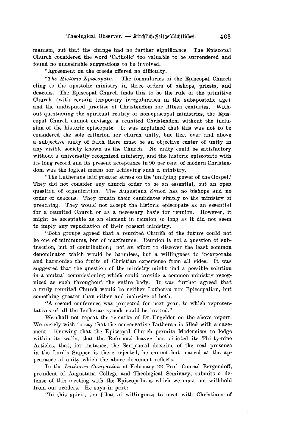manism, but that the change had no further significance. The Episcopal Church considered the word 'Catholic' too valuable to be surrendered and found no undesirable suggestions to be involved.

"Agreement on the creeds offered no difficulty.

*"The Historic Episcopate.* -- The formularies of the Episcopal Church cling to the apostolic ministry in three orders of bishops, priests, and deacons. The Episcopal Church finds this to be the rule of the primitive Church (with certain temporary irregularities in the subapostolic age) and the undisputed practise of Christendom for fifteen centuries. Without questioning the spiritual reality of non-episcopal ministries, the Episcopal Church cannot envisage a reunited Christendom without the inclusion of the historic episcopate. It was explained that this was not to be considered the sole criterion for church unity, but that over and above a subjective unity of faith there must be an objective center of unity in any visible society known as the Church. No unity could be satisfactory without a universally recognized ministry, and the historic episcopate with its long record and its present acceptance in 90 per cent. of modern Christendom was the logical means for achieving such a ministry.

"The Lutherans laid greater stress on the 'unifying power of the Gospel.' They did not consider any church order to be an essential, but an open question of organization. The Augustana Synod has no bishops and no order of deacons. They ordain their candidates simply to the ministry of preaching. They would not accept the historic episcopate as an essential for a reunited Church or as a necessary basis for reunion. However, it might be acceptable as an element in reunion so long as it did not seem to imply any repudiation of their present ministry.

"Both groups agreed that a reunited Church of the future could not be one of minimums, but of maximums. Reunion is not a, question of subtraction, but of contribution; not an effort to discover the least common denominator which would be harmless, but a willingness to incorporate and harmonize the fruits of Christian experience from all sides. It was suggested that the question of the ministry might find a possible solution in a mutual commissioning which could provide a common ministry recognized as such throughout the entire body. It was further agreed that a truly reunited Church would be neither Lutheran nor Episcopalian, but something greater than either and inclusive of both,

"A second conference was projected for next year, to which representatives of all the Lutheran synods could be invited."

We shall not repeat the remarks of Dr. Engelder on the above report. We merely wish to say that the conservative Lutheran is filled with amazement. Knowing that the Episcopal Church permits Modernism to lodge within its walls, that the Reformed leaven has vitiated its Thirty-nine Articles, that, for instance, the Scriptural doctrine of the real presence in the Lord's Supper is there rejected, he cannot but marvel at the appearance of unity which the above document reflects.

In the *Lutheran Companion* of February 22 Prof. Conrad Bergendoff, president of Augustana College and Theological Seminary, submits a defense of this meeting with the Episcopalians which we must not withhold from our readers. He says in part:  $-$ 

"In this spirit, too [that of willingness to meet with Christians of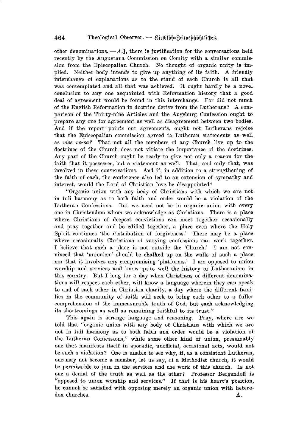other denominations.  $-A.$ ], there is justification for the conversations held recently by the Augustana Commission on Comity with a similar commission from the Episcopalian Church. No thought of organic unity is implied. Neither body intends to give up anything of its faith. A friendly interchange of explanations as to the stand of each Church is all that was contemplated and all that was achieved. It ought hardly be a novel conclusion to anyone acquainted with Reformation history that a good deal of agreement would be found in this interchange. For did not much of the English Reformation in doctrine derive from the Lutherans? A comparison of the Thirty-nine Articles and the Augsburg Confession ought to prepare anyone for agreement as well as disagreement between two bodies. And if the report· points out agreements, ought not Lutherans rejoice that the Episcopalian commission agreed to Lutheran statements as well as *vice vena?* That not all the members of any Church live up to the doctrines of the Church does not vitiate the importance of the doctrines. Any part of the Church ought be ready to give not only a reason for the faith that it possesses, but a statement as well. That, and only that, was involved in these conversations. And if, in addition to a strengthening of the faith of each, the conference also led to an extension of sympathy and interest, would the Lord of Christian love be disappointed?

"Organic union with any body of Christians with which we are not in full harmony as to both faith and order would be a violation of the Lutheran Confessions. But we need not be in organic union with every one in Christendom whom we acknowledge as Christians. There is a place where Christians of deepest convictions can meet together occasionally and pray together and be edified together, a place even where the Holy Spirit continues 'the distribution of forgiveness.' There may be a place where occasionally Christians of varying confessions can work together. I believe that such a place is not outside the 'Church.' I am not convinced that 'unionism' should be chalked up on the walls of such a place nor that it involves any compromising 'platforms.' I am opposed to union worship and services and know quite well the history of Lutheranism in this country. But I long for a day when Christians of different denominations will respect each other, will know a language wherein they can speak to and of each other in Christian charity, a day where the different families in the community of faith will seek to bring each other to a fuller comprehension of the immeasurable truth of God, but each acknowledging its shortcomings as well as remaining faithful to its trust."

This again is strange language and reasoning. Pray, where are we told that "organic union with any body of Christians with which we are not in full harmony as to both faith and order would be a violation of the Lutheran Confessions," while some other kind of union, presumably one that manifests itself in sporadic, unofficial, occasional acts, would not be such a violation? One is unable to see why, if, as a consistent Lutheran, one may not become a member, let us say, of a Methodist church, it would be permissible to join in the services and the work of this church. Is not one a denial of the truth as well as the other? Professor Bergendoff is "opposed to union worship and services." If that is his heart's position, he cannot be satisfied with opposing merely an organic union with heterodox churches. A.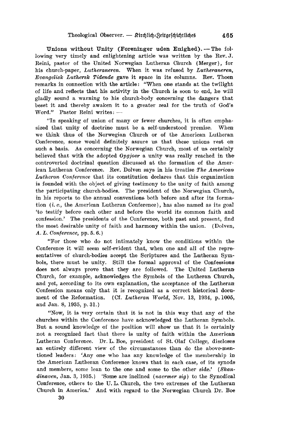Unions without Unity (Foreninger uden Enighed). - The following very timely and enlightening article was written by the Rev. J. Reini, pastor of the United Norwegian Lutheran Church (Merger), for his church-paper, *Lutheraneren*, When it was refused by *Lutheraneren*, *Evangelisk Luthersk Tidende* gave it space in its columns. Rev. Thoen remarks in connection with the article: "When one stands at the twilight of life and reflects that his activity in the Church is soon to end, he will gladly sound a warning to his church-body concerning the dangers that beset it and thereby awaken it to a greater zeal for the truth of God's Word." Pastor Reini writes:

"In speaking of union of many or fewer churches, it is often empha-<br>I that unity of doctrine must be a self-understood premise. When sized that unity of doctrine must be a self-understood premise. we think thus of the Norwegian Church or of the American Lutheran Conference, some would definitely assure us that these unions rest on such a basis. As concerning the Norwegian Church, most of us certainly believed that with the adopted *Opgjoer* a unity was really reached in the controverted doctrinal question discussed at the formation of the American Lutheran Conference. Rev. Dolven says in his treatise The American *Lutheran Conference* that its constitution declares that this organization is founded with the object of giving testimony to the unity of faith among the participating church-bodies. The president of the Norwegian Church, in his reports to the annual conventions both before and after its formation (*i. e.*, the American Lutheran Conference), has also named as its goal 'to testify before each other and before the world its common faith and confession.' The presidents of the Conference, both past and present, find the most desirable unity of faith and harmony within the union. (Dolven, *A. L. Conference, pp. 5. 6.)* 

"For those who do not intimately know the conditions within the Conference it will seem self-evident that, when one and all of the representatives of church-bodies accept the Scriptures and the Lutheran Symbols, there must be unity. Still the formal approval of the Confessions does not always prove that they are followed. The United Lutheran Church, for example, acknowledges the Symbols of the Lutheran Church, and yet, according to its own explanation, the acceptance of the Lutheran Confession means only that it is recognized as a correct historical document of the Reformation. (Cf. *Lutheran World*, Nov. 13, 1934, p. 1005, and Jan. 8, 1935, p. 31.)

"Now, it is very certain that it is not in this way that any of the churches within the Conference have acknowledged the Lutheran Symbols. But a sound knowledge of the position will show us that it is certainly not a recognized fact that there is unity of faith within the American Lutheran Conference. Dr. L. Boe, president of St. Olaf College, discloses an entirely different view of the circumstances than do the above-mentioned leaders: 'Anyone' who has any knowledge of the membership in the American Lutheran Conference knows that in each case, of its synods and members, some lean to the one and some to the other side.' (Skandinaven, Jan. 3, 1935.) 'Some are inclined *(naermer sig)* to the Synodical Conference, others to the U.L. Church, the two extremes of the Lutheran Church in America.' And with regard to the Norwegian Church Dr. Boe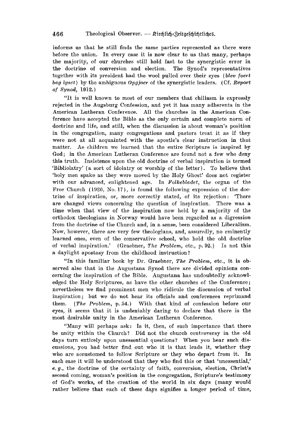informs us that he still finds the same parties represented as there were before the union. In every case it is now clear to us that many, perhaps the majority, of our churches still hold fast to the synergistic error in the doctrine of conversion and election. The Synod's representatives together with its president had the wool pulled over their eyes *(blev foert bag lyset*) by the ambiguous *Opgjoer* of the synergistic leaders. (Cf. *Report of Synod,* 1912,.)

"It is well known to most of our members that chiliasm is expressly rejected in the Augsburg Confession, and yet it has many adherents in the American Lutheran Conference. All the churches in the American Conference' have accepted the Bible as the only certain and complete norm of doctrine and life, and still, when the discussion is about woman's position in the congregation, many congregations and pastors treat it as if they were not at all acquainted with the apostle's clear instruction in that matter. As children we learned that the entire Scripture is inspired by God; in the American Lutheran Conference are found not a few who deny this truth. Insistence upon the old doctrine of verbal inspiration is termed 'Bibliolatry' (a sort of idolatry or worship of the letter). To believe that 'holy men spake as they were moved by the Holy Ghost' does not register with our advanced, enlightened age. In *Folkebludet,* the organ of the Free Church (1926, No. 17), is found the following expression of the doctrine of inspiration, or, more correctly stated, of its rejection: 'There are changed views concerning the question of inspiration. There was a time when that view of the inspiration now held by a majority of the orthodox theologians in Norway would have been regarded as a digression from the doctrine of the Church and, in a sense, been considered Liberalism. Now, however, there are very few theologians, and, assuredly, no eminently learned ones, even of the conservative school, who hold the old doctrine of verbal inspiration.' (Graebner, *The Problem*, etc., p. 92.) Is not this a daylight apostasy from the childhood instruction?

"In this familiar book by Dr. Graebner, *The Problem,* etc., it is observed also that in the Augustana Synod there are divided opinions concerning the inspiration of the Bible. Augustana has undoubtedly acknowledged the Holy Scriptures, as have the other churches of the Conference; nevertheless we, find prominent men who ridicule the discussion of verbal inspiration; but we do not hear its officials and conferences reprimand them. *(The Problem, p. 54.)* With that kind of confession before our eyes, it seems that it is undeniably daring to declare that there is the most desirable unity in the American Lutheran Conference.

"Many will perhaps ask: Is it, then, of such importance that there be unity within the Church? Did not the church controversy in the old days turn entirely upon unessential questions? When you hear such discussions, you had better find out who it is that leads it, whether they who are accustomed to follow Scripture or they who depart from it. In each case it will be understood that they who find this or that 'unessential,' *e. g.*, the doctrine of the certainty of faith, conversion, election, Christ's second coming, woman's position in the congregation, Scripture's testimony <sup>O</sup>'f God's works, of the creation of the world in six days (many would rather believe that each of these days signifies a longer period of time,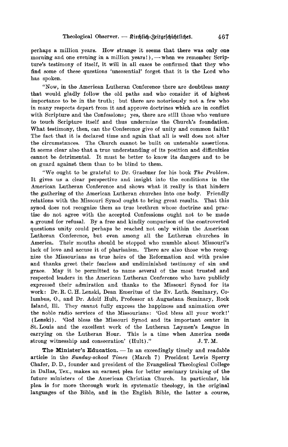perhaps a million years. How strange it seems that there was only one morning and one evening in a million years!),  $-$  when we remember Scripture's testimony of itself, it will in all cases be confirmed that they who find some of these questions 'unessential' forget that it is the Lord who has spoken.

"Now, in the American Lutheran Conference there are doubtless many that would gladly follow the old paths and who consider it of highest importance to be in the truth; but there are notoriously not a few who in many respects depart from it and approve doctrines which are in conflict with Scripture and the Confessions: yes, there are still those who venture to touch Scripture itself and thus undermine the Church's foundation. What testimony, then, can the Conference give of unity and common faith? The fact that it is declared time and again that all is well does not alter the circumstances. The Church cannot be built on untenable assertions. It seems clear also that a true understanding of its position and difficulties cannot be detrimental. It must be better to know its dangers and to be on guard against them than to be blind to them.

"We ought to be grateful to Dr. Graebner for his book *The Problem*. It gives us a clear perspective and insight into the conditions in the American Lutheran Conference and shows what it really is that hinders the gathering of the American Lutheran churches into one body. Friendly relations with the Missouri Synod ought to bring great results. That this synod does not recognize them as true brethren whose doctrine and practise do not agree with the accepted Confessions ought not to be made a ground for refusal. By a free and kindly comparison of the controverted questions unity could perhaps be reached not only within the American Lutheran Conference, but even among all the Lutheran churches in America. Their mouths should be stopped who mumble about Missouri's lack of love and accuse it of pharisaism. There are also those who recognize the Missourians as true heirs of the Reformation and with praise and thanks greet their fearless and undiminished testimony of sin and grace. May it be permitted to name several of the most trusted and respected leaders in the American Lutheran Conference who have publicly expressed their admiration and thanks to the Missouri Synod for its work: Dr. R. C. H. Lenski, Dean Emeritus of the Ev. Luth. Seminary, Columbus, O., and Dr. Adolf Hult, Professor at Augustana Seminary, Rock Island, Ill. They cannot fully express the happiness and animation over the noble radio services of the Missourians: 'God bless all your work!' (Lenski). 'God bless the Missouri Synod and its important center in St. Louis and the excellent work of the Lutheran Laymen's League in carrying on the Lutheran Hour. This is a time when America needs strong witnesship and consecration' (Hult)." J.T.M.

The Minister's Education. - In an exceedingly timely and readable article in the *Sunday-school Times* (March 7) President Lewis Sperry Chafer, D. D., founder and president of the Evangelical Theological College in Dallas, Tex., makes an earnest plea for better seminary training of the future ministers of the American Christian Church. In particular, his plea is for more thorough work in systematic theology, in the original languages of the Bible, and in the English Bible, the latter a course,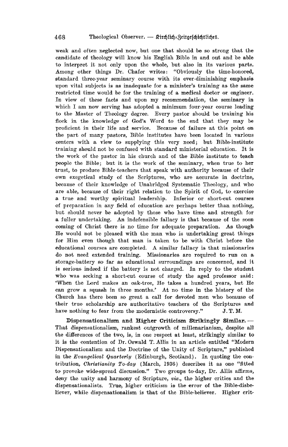weak and often neglected now, but one that should be so strong that the candidate of theology will know his English Bible in and out and be able to interpret it not only upon the whole, but also in its various parts. Among other things Dr. Chafer writes: "Obviously the time-honored, standard three-year seminary course with its ever-diminishing emphasis upon vital subjects is as inadequate for a minister's training as the same restricted time would be for the training of a medical doctor or engineer. In view of these facts and upon my recommendation, the seminary in which I am now serving has adopted a minimum four-year course leading to the Master of Theology degree. Every pastor should be training his flock in the knowledge of God's Word to the end that they may be proficient in their life and service. Because of failure at this point on the part of many pastors, Bible institutes have been located in various centers with a view to supplying this very need; but Bible-institute training should not be confused with standard ministerial education. It is the work of the pastor in his church and of the Bible institute to teach people the Bible; but it is the work of the seminary, when true to her trust, to produce Bible-teachers that speak with authority because of their own exegetical study of the Scriptures, who are accurate in doctrine, because of their knowledge of Unabridged Systematic Theology, and who are able, because of their right relation to the Spirit of God, to exercise a true and worthy spiritual leadership. Inferior or short-cut courses of preparation in any field of education are perhaps better than nothing, but should never be adopted by those who have time and strength for a fuller undertaking. An indefensible fallacy is that because of the soon coming of Christ there is no time for adequate preparation. As though He would not be pleased with the man who is undertaking great things for Him even though that man is taken to be with Christ before the educational courses are completed. A similar fallacy is that missionaries do not need extended training. Missionaries are required to run on a storage-battery so far as educational surroundings are concerned, and it is serious indeed if the battery is not charged. In reply to the student who was seeking a short-cut course of study the aged professor said: 'When the Lord makes an oak-tree, He takes a hundred years, but He can grow a squash in three months." At no time in the history of the Church has there been so great a call for devoted men who because of their true scholarship are authoritative teachers of the Scriptures and have nothing to fear from the modernistic controversy."  $J. T. M.$ 

Dispensationalism and Higher Criticism Strikingly Similar. --That dispensationalism, rankest outgrowth of millenarianism, despite all the differences of the two, is, in one respect at least, strikingly similar to it is the contention of Dr. Oswald T. Allis in an article entitled "Modern Dispensationalism and the Doctrine of the Unity of Scripture," published in the *Evangelical Quarterly* (Edinburgh, Scotland). In quoting the contribution, *Christianity To-day* (March, 1936) describes it as one "fitted to provoke wide-spread discussion." Two groups to-day, Dr. Allis affirms, deny the unity and harmony of Scripture, *viz.*, the higher critics and the dispensationalists. True, higher criticism is the error of the Bible-disbeliever, while dispensationalism is that of the Bible-believer. Higher crit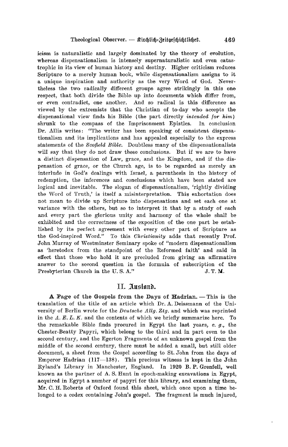icism is naturalistic and largely dominated by the theory of evolution, whereas dispensationalism is intensely supernaturalistic and even catastrophic in its view of human history and destiny. Higher criticism reduces Scripture to a merely human book, while dispensationalism assigns to it a unique inspiration and authority as the very Word of God. Nevertheless the two radically different groups agree strikingly in this one respect, that both divide the Bible up into documents which differ from, or even contradict, one another. And so radical is this difference as viewed by the extremists that the Christian of to-day who accepts the dispensational view finds his Bible (the part directly *intended for him*) shrunk to the compass of the Imprisonment Epistles. In conclusion Dr. Allis writes: "The writer has been speaking of consistent dispensationalism and its implications and has appealed especially to the express statements of the *Scofield Bible*. Doubtless many of the dispensationalists will say that they do not draw these conclusions. But if we are to have a distinct dispensation of Law, grace, and the Kingdom, and if the dispensation of grace, or the Church age, is to be regarded as merely an interlude in God's dealings with Israel, a parenthesis in the history of redemption, the inferences and conclusions which have been stated are logical and inevitable. The slogan of dispensationalism, 'rightly dividing the Word of Truth,' is itself a misinterpretation. This exhortation does not mean to divide up Scripture into dispensations and set each one at variance with the others, but so to interpret it that by a study of each and every part the glorious unity and harmony of the whole shall be exhibited and the correctness of the exposition of the one part be established by its perfect agreement with every other part of Scripture as the God-inspired Word." To this *Ohristianity* adds that recently Prof. John Murray of Westminster Seminary spoke of "modern dispensationalism as 'heretodox from the standpoint of the Reformed faith' and said in effect that those who hold it are precluded from giving an affirmative answer to the second question in the formula of subscription of the Presbyterian Church in the U.S.A." J.T.M.

#### II. Ausland.

A Page of the Gospels from the Days of Hadrian. - This is the translation of the title of an article which Dr. A. Deissmann of the University of Berlin wrote for the *Deutsohe Allg. Ztg.* and which was reprinted in the  $A. E. L. K.$  and the contents of which we briefly summarize here. To the remarkable Bible finds procured in Egypt the last years, *e.* g., the Chester-Beatty Papyri, which belong to the third and in part even to the second century, and the Egerton Fragments of an unknown gospel from the middle of the second century, there must be added a small, but still older document, a sheet from the Gospel according to St. John from the days of Emperor Hadrian  $(117-138)$ . This precious witness is kept in the John Ryland's Library in Manchester, England. In 1920 B. P. Grenfell, well known as the partner of A. S. Hunt in epoch-making excavations in Egypt, acquired in Egypt a number of papyri for this library, and examining them, Mr. C. H. Roberts of Oxford found this sheet, which once upon a time belonged to a codex containing John's gospel. The fragment is much injured,